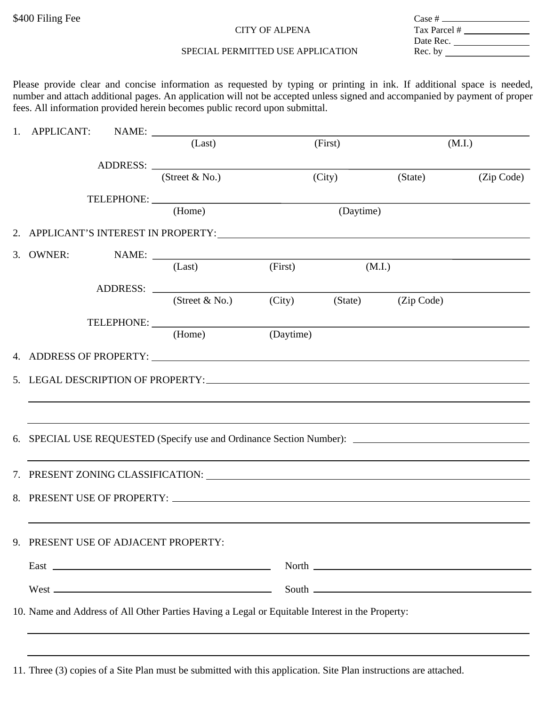## CITY OF ALPENA

| Case # ___   |  |
|--------------|--|
| Tax Parcel # |  |
| Date Rec.    |  |
| Rec. by      |  |
|              |  |

## SPECIAL PERMITTED USE APPLICATION

Please provide clear and concise information as requested by typing or printing in ink. If additional space is needed, number and attach additional pages. An application will not be accepted unless signed and accompanied by payment of proper fees. All information provided herein becomes public record upon submittal.

|    |                                   |                                                                                                 | (Last)                                                                                                                                                                                                                         |           | (First)   |         | (M.I.)     |  |
|----|-----------------------------------|-------------------------------------------------------------------------------------------------|--------------------------------------------------------------------------------------------------------------------------------------------------------------------------------------------------------------------------------|-----------|-----------|---------|------------|--|
|    |                                   |                                                                                                 | ADDRESS: North Contract of the Second Contract of the Second Contract of the Second Contract of the Second Contract of the Second Contract of the Second Contract of the Second Contract of the Second Contract of the Second  |           |           |         |            |  |
|    |                                   |                                                                                                 | (Street $&$ No.)                                                                                                                                                                                                               |           | (City)    | (State) | (Zip Code) |  |
|    |                                   |                                                                                                 |                                                                                                                                                                                                                                |           |           |         |            |  |
|    |                                   |                                                                                                 | (Home)                                                                                                                                                                                                                         |           | (Daytime) |         |            |  |
|    |                                   |                                                                                                 | 2. APPLICANT'S INTEREST IN PROPERTY: National Action of the Material Action of the Material Action of the Material Action of the Material Action of the Material Action of the Material Action of the Material Action of the M |           |           |         |            |  |
| 3. |                                   |                                                                                                 |                                                                                                                                                                                                                                |           |           |         |            |  |
|    |                                   |                                                                                                 | (Last)                                                                                                                                                                                                                         | (First)   |           | (M.I.)  |            |  |
|    |                                   |                                                                                                 |                                                                                                                                                                                                                                |           |           |         |            |  |
|    |                                   |                                                                                                 | (Street & No.) (City) (State) (Zip Code)                                                                                                                                                                                       |           |           |         |            |  |
|    |                                   |                                                                                                 |                                                                                                                                                                                                                                |           |           |         |            |  |
|    |                                   |                                                                                                 | (Home)                                                                                                                                                                                                                         | (Daytime) |           |         |            |  |
|    |                                   |                                                                                                 | 4. ADDRESS OF PROPERTY:                                                                                                                                                                                                        |           |           |         |            |  |
|    | 5. LEGAL DESCRIPTION OF PROPERTY: |                                                                                                 |                                                                                                                                                                                                                                |           |           |         |            |  |
|    |                                   |                                                                                                 |                                                                                                                                                                                                                                |           |           |         |            |  |
|    |                                   |                                                                                                 |                                                                                                                                                                                                                                |           |           |         |            |  |
|    |                                   |                                                                                                 |                                                                                                                                                                                                                                |           |           |         |            |  |
|    |                                   |                                                                                                 |                                                                                                                                                                                                                                |           |           |         |            |  |
|    |                                   |                                                                                                 | 7. PRESENT ZONING CLASSIFICATION: University of the contract of the contract of the contract of the contract of the contract of the contract of the contract of the contract of the contract of the contract of the contract o |           |           |         |            |  |
|    |                                   |                                                                                                 |                                                                                                                                                                                                                                |           |           |         |            |  |
|    |                                   |                                                                                                 |                                                                                                                                                                                                                                |           |           |         |            |  |
| 9. | PRESENT USE OF ADJACENT PROPERTY: |                                                                                                 |                                                                                                                                                                                                                                |           |           |         |            |  |
|    |                                   |                                                                                                 |                                                                                                                                                                                                                                |           |           |         |            |  |
|    |                                   |                                                                                                 |                                                                                                                                                                                                                                |           |           |         |            |  |
|    |                                   |                                                                                                 | $West$ $\overline{\phantom{a}}$                                                                                                                                                                                                |           |           |         |            |  |
|    |                                   | 10. Name and Address of All Other Parties Having a Legal or Equitable Interest in the Property: |                                                                                                                                                                                                                                |           |           |         |            |  |
|    |                                   |                                                                                                 |                                                                                                                                                                                                                                |           |           |         |            |  |

11. Three (3) copies of a Site Plan must be submitted with this application. Site Plan instructions are attached.